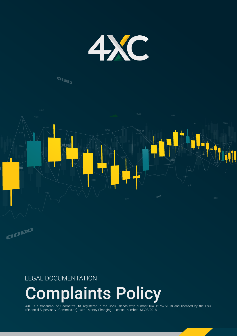

## **DBID**



### LEGAL DOCUMENTATION

# Complaints Policy

4XC is a trademark of Geomatrix Ltd, registered in the Cook Islands with number ICA 12767/2018 and licensed by the FSC (Financial Supervisory Commission) with Money-Changing License number MC03/2018.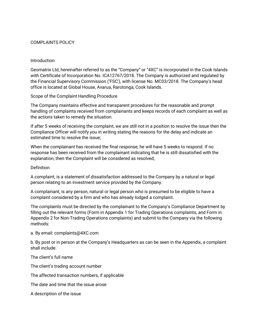#### COMPLAINTS POLICY

#### Introduction

Geomatrix Ltd, hereinafter referred to as the "Company" or "4XC" is incorporated in the Cook Islands with Certificate of Incorporation No. ICA12767/2018. The Company is authorized and regulated by the Financial Supervisory Commission ('FSC'), with license No. MC03/2018. The Company's head office is located at Global House, Avarua, Rarotonga, Cook Islands.

#### Scope of the Complaint Handling Procedure

The Company maintains effective and transparent procedures for the reasonable and prompt handling of complaints received from complainants and keeps records of each complaint as well as the actions taken to remedy the situation.

If after 5 weeks of receiving the complaint, we are still not in a position to resolve the issue then the Compliance Officer will notify you in writing stating the reasons for the delay and indicate an estimated time to resolve the issue;

When the complainant has received the final response, he will have 5 weeks to respond. If no response has been received from the complainant indicating that he is still dissatisfied with the explanation, then the Complaint will be considered as resolved;

#### **Definition**

A complaint, is a statement of dissatisfaction addressed to the Company by a natural or legal person relating to an investment service provided by the Company.

A complainant, is any person, natural or legal person who is presumed to be eligible to have a complaint considered by a firm and who has already lodged a complaint.

The complaints must be directed by the complainant to the Company's Compliance Department by filling out the relevant forms (Form in Appendix 1 for Trading Operations complaints, and Form in Appendix 2 for Non-Trading Operations complaints) and submit to the Company via the following methods:

a. By email: complaints@4XC.com

b. By post or in person at the Company's Headquarters as can be seen in the Appendix, a complaint shall include:

The client's full name

The client's trading account number

The affected transaction numbers, if applicable

The date and time that the issue arose

A description of the issue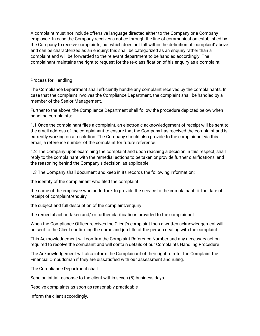A complaint must not include offensive language directed either to the Company or a Company employee. In case the Company receives a notice through the line of communication established by the Company to receive complaints, but which does not fall within the definition of 'complaint' above and can be characterized as an enquiry; this shall be categorized as an enquiry rather than a complaint and will be forwarded to the relevant department to be handled accordingly. The complainant maintains the right to request for the re-classification of his enquiry as a complaint.

#### Process for Handling

The Compliance Department shall efficiently handle any complaint received by the complainants. In case that the complaint involves the Compliance Department, the complaint shall be handled by a member of the Senior Management.

Further to the above, the Compliance Department shall follow the procedure depicted below when handling complaints:

1.1 Once the complainant files a complaint, an electronic acknowledgement of receipt will be sent to the email address of the complainant to ensure that the Company has received the complaint and is currently working on a resolution. The Company should also provide to the complainant via this email; a reference number of the complaint for future reference.

1.2 The Company upon examining the complaint and upon reaching a decision in this respect, shall reply to the complainant with the remedial actions to be taken or provide further clarifications, and the reasoning behind the Company's decision, as applicable.

1.3 The Company shall document and keep in its records the following information:

the identity of the complainant who filed the complaint

the name of the employee who undertook to provide the service to the complainant iii. the date of receipt of complaint/enquiry

the subject and full description of the complaint/enquiry

the remedial action taken and/ or further clarifications provided to the complainant

When the Compliance Officer receives the Client's complaint then a written acknowledgement will be sent to the Client confirming the name and job title of the person dealing with the complaint.

This Acknowledgement will confirm the Complaint Reference Number and any necessary action required to resolve the complaint and will contain details of our Complaints Handling Procedure

The Acknowledgement will also inform the Complainant of their right to refer the Complaint the Financial Ombudsman if they are dissatisfied with our assessment and ruling.

The Compliance Department shall:

Send an initial response to the client within seven (5) business days

Resolve complaints as soon as reasonably practicable

Inform the client accordingly.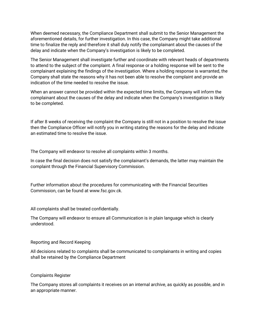When deemed necessary, the Compliance Department shall submit to the Senior Management the aforementioned details, for further investigation. In this case, the Company might take additional time to finalize the reply and therefore it shall duly notify the complainant about the causes of the delay and indicate when the Company's investigation is likely to be completed.

The Senior Management shall investigate further and coordinate with relevant heads of departments to attend to the subject of the complaint. A final response or a holding response will be sent to the complainant explaining the findings of the investigation. Where a holding response is warranted, the Company shall state the reasons why it has not been able to resolve the complaint and provide an indication of the time needed to resolve the issue.

When an answer cannot be provided within the expected time limits, the Company will inform the complainant about the causes of the delay and indicate when the Company's investigation is likely to be completed.

If after 8 weeks of receiving the complaint the Company is still not in a position to resolve the issue then the Compliance Officer will notify you in writing stating the reasons for the delay and indicate an estimated time to resolve the issue.

The Company will endeavor to resolve all complaints within 3 months.

In case the final decision does not satisfy the complainant's demands, the latter may maintain the complaint through the Financial Supervisory Commission.

Further information about the procedures for communicating with the Financial Securities Commission, can be found at www.fsc.gov.ck.

All complaints shall be treated confidentially.

The Company will endeavor to ensure all Communication is in plain language which is clearly understood.

#### Reporting and Record Keeping

All decisions related to complaints shall be communicated to complainants in writing and copies shall be retained by the Compliance Department

Complaints Register

The Company stores all complaints it receives on an internal archive, as quickly as possible, and in an appropriate manner.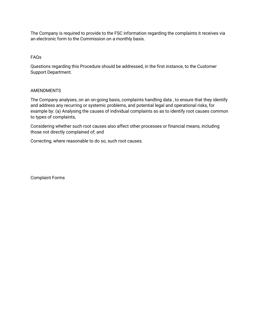The Company is required to provide to the FSC information regarding the complaints it receives via an electronic form to the Commission on a monthly basis.

#### FAQs

Questions regarding this Procedure should be addressed, in the first instance, to the Customer Support Department.

#### AMENDMENTS

The Company analyses, on an on-going basis, complaints handling data , to ensure that they identify and address any recurring or systemic problems, and potential legal and operational risks, for example by: (a) Analysing the causes of individual complaints so as to identify root causes common to types of complaints,

Considering whether such root causes also affect other processes or financial means, including those not directly complained of; and

Correcting, where reasonable to do so, such root causes.

Complaint Forms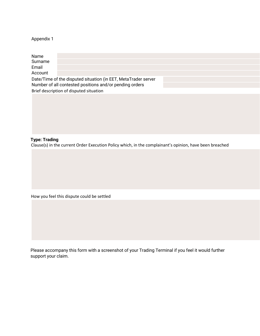#### Appendix 1

| Name<br>Surname<br>Email<br>Account     |                                                                |  |  |  |
|-----------------------------------------|----------------------------------------------------------------|--|--|--|
|                                         |                                                                |  |  |  |
|                                         | Date/Time of the disputed situation (in EET, MetaTrader server |  |  |  |
|                                         | Number of all contested positions and/or pending orders        |  |  |  |
| Brief description of disputed situation |                                                                |  |  |  |
|                                         |                                                                |  |  |  |
|                                         |                                                                |  |  |  |
|                                         |                                                                |  |  |  |
|                                         |                                                                |  |  |  |
|                                         |                                                                |  |  |  |
|                                         |                                                                |  |  |  |
|                                         |                                                                |  |  |  |
|                                         |                                                                |  |  |  |

#### **Type: Trading**

Clause(s) in the current Order Execution Policy which, in the complainant's opinion, have been breached

How you feel this dispute could be settled

Please accompany this form with a screenshot of your Trading Terminal if you feel it would further support your claim.